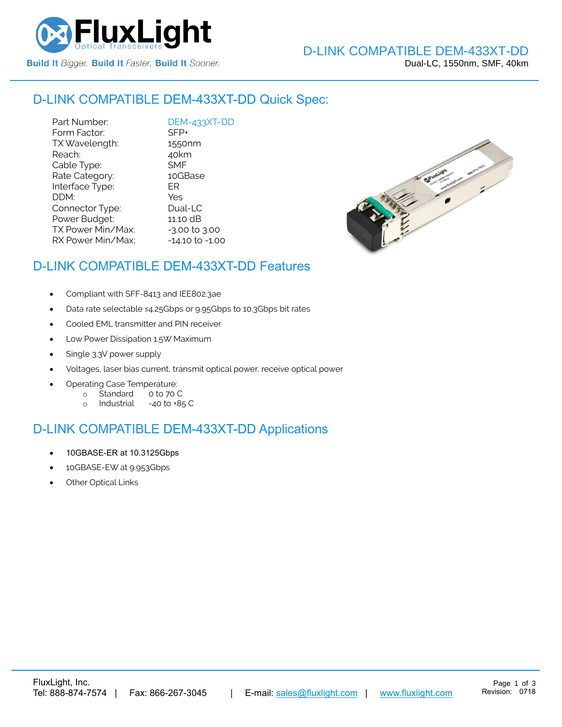

#### D-LINK COMPATIBLE [DEM-433XT-DD](https://www.fluxlight.com/) Quick Spec:

Part Number: [DEM-433XT-DD](https://www.fluxlight.com/)<br>Form Factor: SFP+ Form Factor: TX Wavelength: 1550nm Reach: 40km Cable Type: SMF Rate Category: 10GBase Interface Type: ER DDM: Yes Connector Type: Dual-LC Power Budget: 11.10 dB  $TX$  Power Min/Max:  $-3.00$  to  $3.00$ RX Power Min/Max; - 14.10 to -1.00



# D-LINK COMPATIBLE [DEM-433XT-DD](https://www.fluxlight.com/) Features

- Compliant with SFF-8413 and IEE802.3ae
- Data rate selectable ≤4.25Gbps or 9.95Gbps to 10.3Gbps bit rates
- Cooled EML transmitter and PIN receiver
- Low Power Dissipation 1.5W Maximum
- Single 3.3V power supply
- Voltages, laser bias current, transmit optical power, receive optical power
- Operating Case Temperature:
	- o Standard 0 to 70 C
	- o Industrial -40 to +85 C

### D-LINK COMPATIBLE [DEM-433XT-DD](https://www.fluxlight.com/) Applications

- 10GBASE-ER at 10.3125Gbps
- 10GBASE-EW at 9.953Gbps
- **Other Optical Links**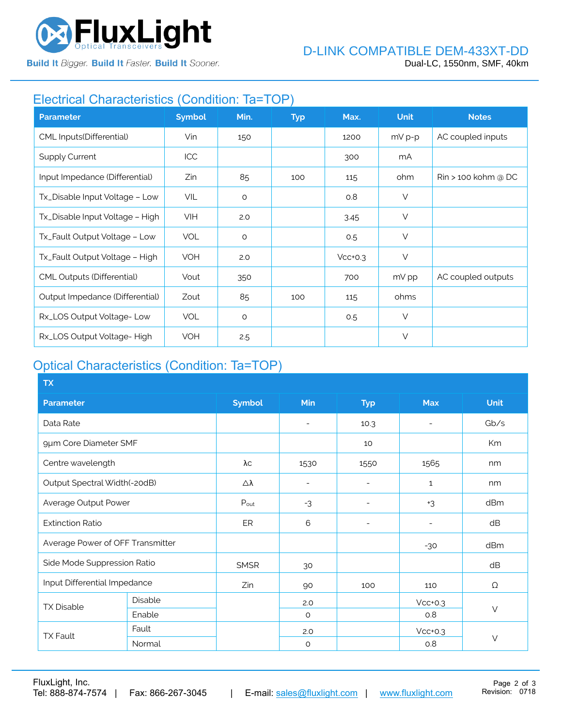

**Build It Bigger. Build It Faster. Build It Sooner.** 

# Electrical Characteristics (Condition: Ta=TOP)

| <b>Parameter</b>                  | <b>Symbol</b> | Min.    | <b>Typ</b> | Max.      | <b>Unit</b> | <b>Notes</b>                    |
|-----------------------------------|---------------|---------|------------|-----------|-------------|---------------------------------|
| CML Inputs(Differential)          | Vin           | 150     |            | 1200      | $mV p-p$    | AC coupled inputs               |
| <b>Supply Current</b>             | ICC           |         |            | 300       | mA          |                                 |
| Input Impedance (Differential)    | Zin           | 85      | 100        | 115       | ohm         | $\mathrm{R}$ in > 100 kohm @ DC |
| Tx_Disable Input Voltage - Low    | VIL           | $\circ$ |            | 0.8       | $\vee$      |                                 |
| Tx_Disable Input Voltage - High   | VIH           | 2.0     |            | 3.45      | $\vee$      |                                 |
| Tx_Fault Output Voltage - Low     | <b>VOL</b>    | $\circ$ |            | 0.5       | $\vee$      |                                 |
| Tx_Fault Output Voltage - High    | <b>VOH</b>    | 2.0     |            | $Vcc+0.3$ | $\vee$      |                                 |
| <b>CML Outputs (Differential)</b> | Vout          | 350     |            | 700       | mV pp       | AC coupled outputs              |
| Output Impedance (Differential)   | Zout          | 85      | 100        | 115       | ohms        |                                 |
| Rx_LOS Output Voltage-Low         | <b>VOL</b>    | $\circ$ |            | 0.5       | $\vee$      |                                 |
| Rx_LOS Output Voltage-High        | <b>VOH</b>    | 2.5     |            |           | $\vee$      |                                 |

# Optical Characteristics (Condition: Ta=TOP)

| <b>TX</b>                        |         |                  |                          |                          |                |             |  |
|----------------------------------|---------|------------------|--------------------------|--------------------------|----------------|-------------|--|
| <b>Parameter</b>                 |         | <b>Symbol</b>    | Min                      | <b>Typ</b>               | <b>Max</b>     | <b>Unit</b> |  |
| Data Rate                        |         |                  | $\overline{\phantom{a}}$ | 10.3                     | $\overline{a}$ | Gb/s        |  |
| 9µm Core Diameter SMF            |         |                  |                          | 10                       |                | Km          |  |
| Centre wavelength                |         | $\lambda c$      | 1530                     | 1550                     | 1565           | nm          |  |
| Output Spectral Width(-20dB)     |         | Δλ               | $\overline{\phantom{a}}$ | ۰                        | $\mathbf{1}$   | nm          |  |
| Average Output Power             |         | $P_{\text{out}}$ | $-3$                     | $\overline{\phantom{a}}$ | $+3$           | dBm         |  |
| <b>Extinction Ratio</b>          |         | ER               | 6                        | $\overline{\phantom{0}}$ |                | dB          |  |
| Average Power of OFF Transmitter |         |                  |                          |                          | $-30$          | dBm         |  |
| Side Mode Suppression Ratio      |         | <b>SMSR</b>      | 30                       |                          |                | dB          |  |
| Input Differential Impedance     |         | Zin              | 90                       | 100                      | 110            | Ω           |  |
| <b>TX Disable</b>                | Disable |                  | 2.0                      |                          | $Vcc+0.3$      | $\vee$      |  |
|                                  | Enable  |                  | $\circ$                  |                          | 0.8            |             |  |
| <b>TX Fault</b>                  | Fault   |                  | 2.0                      |                          | $Vcc+0.3$      |             |  |
|                                  | Normal  |                  | $\circ$                  |                          | 0.8            | $\vee$      |  |